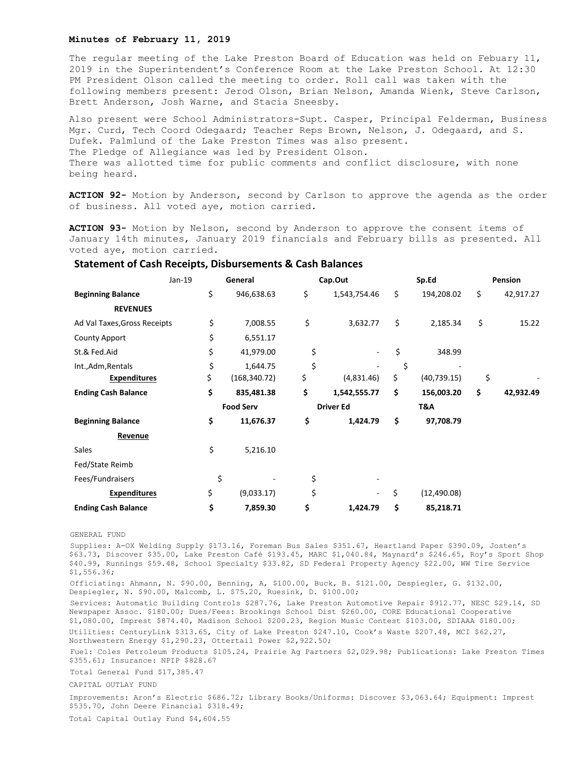## **Minutes of February 11, 2019**

The regular meeting of the Lake Preston Board of Education was held on Febuary 11, 2019 in the Superintendent's Conference Room at the Lake Preston School. At 12:30 PM President Olson called the meeting to order. Roll call was taken with the following members present: Jerod Olson, Brian Nelson, Amanda Wienk, Steve Carlson, Brett Anderson, Josh Warne, and Stacia Sneesby.

Also present were School Administrators-Supt. Casper, Principal Felderman, Business Mgr. Curd, Tech Coord Odegaard; Teacher Reps Brown, Nelson, J. Odegaard, and S. Dufek. Palmlund of the Lake Preston Times was also present. The Pledge of Allegiance was led by President Olson. There was allotted time for public comments and conflict disclosure, with none being heard.

**ACTION 92-** Motion by Anderson, second by Carlson to approve the agenda as the order of business. All voted aye, motion carried.

**ACTION 93-** Motion by Nelson, second by Anderson to approve the consent items of January 14th minutes, January 2019 financials and February bills as presented. All voted aye, motion carried.

## **Statement of Cash Receipts, Disbursements & Cash Balances**

| Jan-19                       |  | General          |               | Cap.Out          |              | Sp.Ed |              | Pension |           |
|------------------------------|--|------------------|---------------|------------------|--------------|-------|--------------|---------|-----------|
| <b>Beginning Balance</b>     |  | \$               | 946,638.63    | \$               | 1,543,754.46 | \$    | 194,208.02   | \$      | 42,917.27 |
| <b>REVENUES</b>              |  |                  |               |                  |              |       |              |         |           |
| Ad Val Taxes, Gross Receipts |  | \$               | 7,008.55      | \$               | 3,632.77     | \$    | 2,185.34     | \$      | 15.22     |
| <b>County Apport</b>         |  | \$               | 6,551.17      |                  |              |       |              |         |           |
| St.& Fed.Aid                 |  | \$               | 41,979.00     | \$               |              | \$    | 348.99       |         |           |
| Int., Adm, Rentals           |  | \$               | 1,644.75      | \$               |              | \$    |              |         |           |
| <b>Expenditures</b>          |  | \$               | (168, 340.72) | \$               | (4,831.46)   | \$    | (40, 739.15) | \$      |           |
| <b>Ending Cash Balance</b>   |  | \$               | 835,481.38    | \$               | 1,542,555.77 | \$    | 156,003.20   | \$      | 42,932.49 |
|                              |  | <b>Food Serv</b> |               | <b>Driver Ed</b> |              | T&A   |              |         |           |
| <b>Beginning Balance</b>     |  | \$               | 11,676.37     | \$               | 1,424.79     | \$    | 97,708.79    |         |           |
| Revenue                      |  |                  |               |                  |              |       |              |         |           |
| Sales                        |  | \$               | 5,216.10      |                  |              |       |              |         |           |
| Fed/State Reimb              |  |                  |               |                  |              |       |              |         |           |
| Fees/Fundraisers             |  | \$               |               | \$               |              |       |              |         |           |
| <b>Expenditures</b>          |  | \$               | (9,033.17)    | \$               | ٠            | \$    | (12, 490.08) |         |           |
| <b>Ending Cash Balance</b>   |  | \$               | 7,859.30      | \$               | 1,424.79     | \$    | 85,218.71    |         |           |

## GENERAL FUND

Supplies: A-OX Welding Supply \$173.16, Foreman Bus Sales \$351.67, Heartland Paper \$390.09, Josten's \$63.73, Discover \$35.00, Lake Preston Café \$193.45, MARC \$1,040.84, Maynard's \$246.65, Roy's Sport Shop \$40.99, Runnings \$59.48, School Specialty \$33.82, SD Federal Property Agency \$22.00, WW Tire Service \$1,556.36;

Officiating: Ahmann, N. \$90.00, Benning, A, \$100.00, Buck, B. \$121.00, Despiegler, G. \$132.00, Despiegler, N. \$90.00, Malcomb, L. \$75.20, Ruesink, D. \$100.00;

Services: Automatic Building Controls \$287.76, Lake Preston Automotive Repair \$912.77, NESC \$29.14, SD Newspaper Assoc. \$180.00; Dues/Fees: Brookings School Dist \$260.00, CORE Educational Cooperative \$1,080.00, Imprest \$874.40, Madison School \$200.23, Region Music Contest \$103.00, SDIAAA \$180.00; Utilities: CenturyLink \$313.65, City of Lake Preston \$247.10, Cook's Waste \$207.48, MCI \$62.27, Northwestern Energy \$1,290.23, Ottertail Power \$2,922.50;

Fuel: Coles Petroleum Products \$105.24, Prairie Ag Partners \$2,029.98; Publications: Lake Preston Times \$355.61; Insurance: NPIP \$828.67

Total General Fund \$17,385.47

CAPITAL OUTLAY FUND

Improvements: Aron's Electric \$686.72; Library Books/Uniforms: Discover \$3,063.64; Equipment: Imprest \$535.70, John Deere Financial \$318.49;

Total Capital Outlay Fund \$4,604.55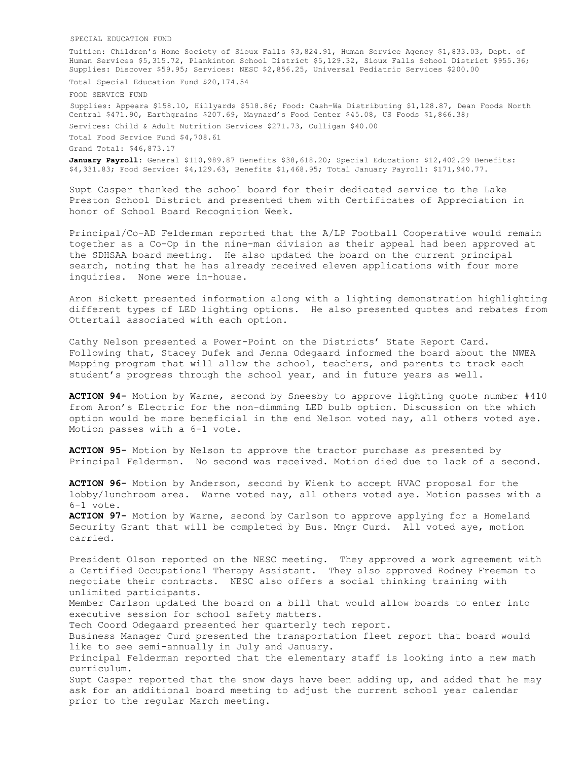SPECIAL EDUCATION FUND

Tuition: Children's Home Society of Sioux Falls \$3,824.91, Human Service Agency \$1,833.03, Dept. of Human Services \$5,315.72, Plankinton School District \$5,129.32, Sioux Falls School District \$955.36; Supplies: Discover \$59.95; Services: NESC \$2,856.25, Universal Pediatric Services \$200.00

Total Special Education Fund \$20,174.54

FOOD SERVICE FUND Supplies: Appeara \$158.10, Hillyards \$518.86; Food: Cash-Wa Distributing \$1,128.87, Dean Foods North Central \$471.90, Earthgrains \$207.69, Maynard's Food Center \$45.08, US Foods \$1,866.38; Services: Child & Adult Nutrition Services \$271.73, Culligan \$40.00 Total Food Service Fund \$4,708.61 Grand Total: \$46,873.17 **January Payroll:** General \$110,989.87 Benefits \$38,618.20; Special Education: \$12,402.29 Benefits: \$4,331.83; Food Service: \$4,129.63, Benefits \$1,468.95; Total January Payroll: \$171,940.77.

Supt Casper thanked the school board for their dedicated service to the Lake Preston School District and presented them with Certificates of Appreciation in honor of School Board Recognition Week.

Principal/Co-AD Felderman reported that the A/LP Football Cooperative would remain together as a Co-Op in the nine-man division as their appeal had been approved at the SDHSAA board meeting. He also updated the board on the current principal search, noting that he has already received eleven applications with four more inquiries. None were in-house.

Aron Bickett presented information along with a lighting demonstration highlighting different types of LED lighting options. He also presented quotes and rebates from Ottertail associated with each option.

Cathy Nelson presented a Power-Point on the Districts' State Report Card. Following that, Stacey Dufek and Jenna Odegaard informed the board about the NWEA Mapping program that will allow the school, teachers, and parents to track each student's progress through the school year, and in future years as well.

**ACTION 94-** Motion by Warne, second by Sneesby to approve lighting quote number #410 from Aron's Electric for the non-dimming LED bulb option. Discussion on the which option would be more beneficial in the end Nelson voted nay, all others voted aye. Motion passes with a 6-1 vote.

**ACTION 95-** Motion by Nelson to approve the tractor purchase as presented by Principal Felderman. No second was received. Motion died due to lack of a second.

**ACTION 96-** Motion by Anderson, second by Wienk to accept HVAC proposal for the lobby/lunchroom area. Warne voted nay, all others voted aye. Motion passes with a 6-1 vote. **ACTION 97-** Motion by Warne, second by Carlson to approve applying for a Homeland Security Grant that will be completed by Bus. Mngr Curd. All voted aye, motion carried. President Olson reported on the NESC meeting. They approved a work agreement with a Certified Occupational Therapy Assistant. They also approved Rodney Freeman to negotiate their contracts. NESC also offers a social thinking training with unlimited participants. Member Carlson updated the board on a bill that would allow boards to enter into executive session for school safety matters. Tech Coord Odegaard presented her quarterly tech report. Business Manager Curd presented the transportation fleet report that board would like to see semi-annually in July and January. Principal Felderman reported that the elementary staff is looking into a new math curriculum. Supt Casper reported that the snow days have been adding up, and added that he may ask for an additional board meeting to adjust the current school year calendar prior to the regular March meeting.